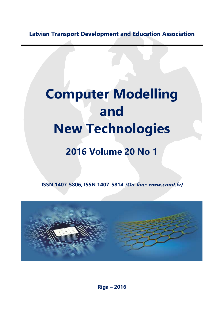**Latvian Transport Development and Education Association**

## **Computer Modelling and New Technologies**

## **2016 Volume 20 No 1**

**ISSN 1407-5806, ISSN 1407-5814 (On-line: www.cmnt.lv)**



**Riga – 2016**